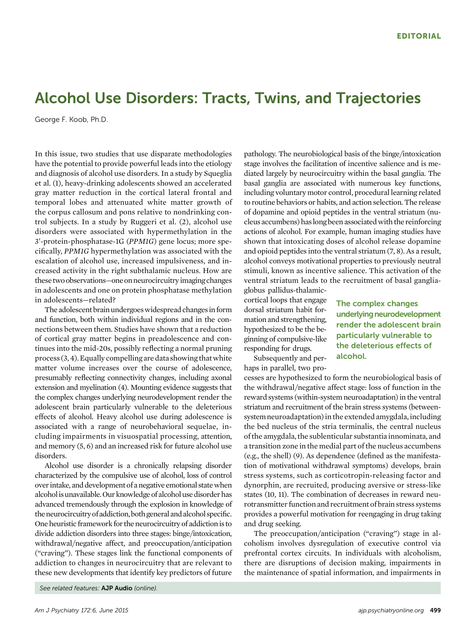## Alcohol Use Disorders: Tracts, Twins, and Trajectories

George F. Koob, Ph.D.

In this issue, two studies that use disparate methodologies have the potential to provide powerful leads into the etiology and diagnosis of alcohol use disorders. In a study by Squeglia et al. (1), heavy-drinking adolescents showed an accelerated gray matter reduction in the cortical lateral frontal and temporal lobes and attenuated white matter growth of the corpus callosum and pons relative to nondrinking control subjects. In a study by Ruggeri et al. (2), alcohol use disorders were associated with hypermethylation in the 3:-protein-phosphatase-1G (PPM1G) gene locus; more specifically, PPM1G hypermethylation was associated with the escalation of alcohol use, increased impulsiveness, and increased activity in the right subthalamic nucleus. How are these two observations—one on neurocircuitryimaging changes in adolescents and one on protein phosphatase methylation in adolescents—related?

The adolescent brain undergoes widespread changes in form and function, both within individual regions and in the connections between them. Studies have shown that a reduction of cortical gray matter begins in preadolescence and continues into the mid-20s, possibly reflecting a normal pruning process (3, 4).Equally compelling are data showing that white matter volume increases over the course of adolescence, presumably reflecting connectivity changes, including axonal extension and myelination (4). Mounting evidence suggests that the complex changes underlying neurodevelopment render the adolescent brain particularly vulnerable to the deleterious effects of alcohol. Heavy alcohol use during adolescence is associated with a range of neurobehavioral sequelae, including impairments in visuospatial processing, attention, and memory (5, 6) and an increased risk for future alcohol use disorders.

Alcohol use disorder is a chronically relapsing disorder characterized by the compulsive use of alcohol, loss of control over intake, and development of a negative emotional state when alcoholis unavailable. Our knowledge of alcohol use disorder has advanced tremendously through the explosion in knowledge of the neurocircuitry of addiction, both general and alcohol specific. One heuristic framework for the neurocircuitry of addiction is to divide addiction disorders into three stages: binge/intoxication, withdrawal/negative affect, and preoccupation/anticipation ("craving"). These stages link the functional components of addiction to changes in neurocircuitry that are relevant to these new developments that identify key predictors of future pathology. The neurobiological basis of the binge/intoxication stage involves the facilitation of incentive salience and is mediated largely by neurocircuitry within the basal ganglia. The basal ganglia are associated with numerous key functions, including voluntary motor control, procedural learning related to routine behaviors or habits, and action selection. The release of dopamine and opioid peptides in the ventral striatum (nucleus accumbens) haslong been associatedwith the reinforcing actions of alcohol. For example, human imaging studies have shown that intoxicating doses of alcohol release dopamine and opioid peptides into the ventral striatum (7, 8). As a result, alcohol conveys motivational properties to previously neutral stimuli, known as incentive salience. This activation of the ventral striatum leads to the recruitment of basal gangliaglobus pallidus-thalamic-

cortical loops that engage dorsal striatum habit formation and strengthening, hypothesized to be the beginning of compulsive-like responding for drugs.

Subsequently and perhaps in parallel, two proThe complex changes underlying neurodevelopment render the adolescent brain particularly vulnerable to the deleterious effects of alcohol.

cesses are hypothesized to form the neurobiological basis of the withdrawal/negative affect stage: loss of function in the reward systems (within-system neuroadaptation) in the ventral striatum and recruitment of the brain stress systems (betweensystem neuroadaptation) in the extended amygdala, including the bed nucleus of the stria terminalis, the central nucleus of the amygdala, the sublenticular substantia innominata, and a transition zone in the medial part of the nucleus accumbens (e.g., the shell) (9). As dependence (defined as the manifestation of motivational withdrawal symptoms) develops, brain stress systems, such as corticotropin-releasing factor and dynorphin, are recruited, producing aversive or stress-like states (10, 11). The combination of decreases in reward neurotransmitter function and recruitment of brain stress systems provides a powerful motivation for reengaging in drug taking and drug seeking.

The preoccupation/anticipation ("craving") stage in alcoholism involves dysregulation of executive control via prefrontal cortex circuits. In individuals with alcoholism, there are disruptions of decision making, impairments in the maintenance of spatial information, and impairments in

See related features: AJP Audio (online).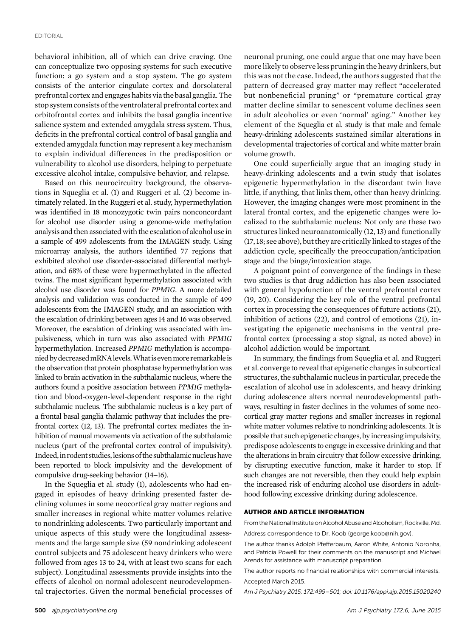behavioral inhibition, all of which can drive craving. One can conceptualize two opposing systems for such executive function: a go system and a stop system. The go system consists of the anterior cingulate cortex and dorsolateral prefrontal cortex and engages habits via the basal ganglia. The stop system consists of the ventrolateral prefrontal cortex and orbitofrontal cortex and inhibits the basal ganglia incentive salience system and extended amygdala stress system. Thus, deficits in the prefrontal cortical control of basal ganglia and extended amygdala function may represent a key mechanism to explain individual differences in the predisposition or vulnerability to alcohol use disorders, helping to perpetuate excessive alcohol intake, compulsive behavior, and relapse.

Based on this neurocircuitry background, the observations in Squeglia et al. (1) and Ruggeri et al. (2) become intimately related. In the Ruggeri et al. study, hypermethylation was identified in 18 monozygotic twin pairs nonconcordant for alcohol use disorder using a genome-wide methylation analysis and then associated with the escalation of alcohol usein a sample of 499 adolescents from the IMAGEN study. Using microarray analysis, the authors identified 77 regions that exhibited alcohol use disorder-associated differential methylation, and 68% of these were hypermethylated in the affected twins. The most significant hypermethylation associated with alcohol use disorder was found for PPM1G. A more detailed analysis and validation was conducted in the sample of 499 adolescents from the IMAGEN study, and an association with the escalation of drinking between ages 14 and 16 was observed. Moreover, the escalation of drinking was associated with impulsiveness, which in turn was also associated with PPM1G hypermethylation. Increased PPM1G methylation is accompaniedbydecreasedmRNAlevels.Whatisevenmore remarkableis the observation that protein phosphatase hypermethylation was linked to brain activation in the subthalamic nucleus, where the authors found a positive association between PPM1G methylation and blood-oxygen-level-dependent response in the right subthalamic nucleus. The subthalamic nucleus is a key part of a frontal basal ganglia thalamic pathway that includes the prefrontal cortex (12, 13). The prefrontal cortex mediates the inhibition of manual movements via activation of the subthalamic nucleus (part of the prefrontal cortex control of impulsivity). Indeed, in rodent studies, lesions of the subthalamic nucleus have been reported to block impulsivity and the development of compulsive drug-seeking behavior (14–16).

In the Squeglia et al. study (1), adolescents who had engaged in episodes of heavy drinking presented faster declining volumes in some neocortical gray matter regions and smaller increases in regional white matter volumes relative to nondrinking adolescents. Two particularly important and unique aspects of this study were the longitudinal assessments and the large sample size (59 nondrinking adolescent control subjects and 75 adolescent heavy drinkers who were followed from ages 13 to 24, with at least two scans for each subject). Longitudinal assessments provide insights into the effects of alcohol on normal adolescent neurodevelopmental trajectories. Given the normal beneficial processes of neuronal pruning, one could argue that one may have been more likely to observe less pruning in the heavy drinkers, but this was not the case. Indeed, the authors suggested that the pattern of decreased gray matter may reflect "accelerated but nonbeneficial pruning" or "premature cortical gray matter decline similar to senescent volume declines seen in adult alcoholics or even 'normal' aging." Another key element of the Squeglia et al. study is that male and female heavy-drinking adolescents sustained similar alterations in developmental trajectories of cortical and white matter brain volume growth.

One could superficially argue that an imaging study in heavy-drinking adolescents and a twin study that isolates epigenetic hypermethylation in the discordant twin have little, if anything, that links them, other than heavy drinking. However, the imaging changes were most prominent in the lateral frontal cortex, and the epigenetic changes were localized to the subthalamic nucleus: Not only are these two structures linked neuroanatomically (12, 13) and functionally (17, 18; see above), but they are critically linked to stages of the addiction cycle, specifically the preoccupation/anticipation stage and the binge/intoxication stage.

A poignant point of convergence of the findings in these two studies is that drug addiction has also been associated with general hypofunction of the ventral prefrontal cortex (19, 20). Considering the key role of the ventral prefrontal cortex in processing the consequences of future actions (21), inhibition of actions (22), and control of emotions (21), investigating the epigenetic mechanisms in the ventral prefrontal cortex (processing a stop signal, as noted above) in alcohol addiction would be important.

In summary, the findings from Squeglia et al. and Ruggeri et al. converge to reveal that epigenetic changes in subcortical structures, the subthalamic nucleus in particular, precede the escalation of alcohol use in adolescents, and heavy drinking during adolescence alters normal neurodevelopmental pathways, resulting in faster declines in the volumes of some neocortical gray matter regions and smaller increases in regional white matter volumes relative to nondrinking adolescents. It is possible that such epigenetic changes, by increasing impulsivity, predispose adolescents to engage in excessive drinking and that the alterations in brain circuitry that follow excessive drinking, by disrupting executive function, make it harder to stop. If such changes are not reversible, then they could help explain the increased risk of enduring alcohol use disorders in adulthood following excessive drinking during adolescence.

## AUTHOR AND ARTICLE INFORMATION

From the National Institute on Alcohol Abuse and Alcoholism, Rockville, Md. Address correspondence to Dr. Koob ([george.koob@nih.gov\)](mailto:george.koob@nih.gov).

The author thanks Adolph Pfefferbaum, Aaron White, Antonio Noronha, and Patricia Powell for their comments on the manuscript and Michael Arends for assistance with manuscript preparation.

The author reports no financial relationships with commercial interests. Accepted March 2015.

Am J Psychiatry 2015; 172:499–501; doi: 10.1176/appi.ajp.2015.15020240